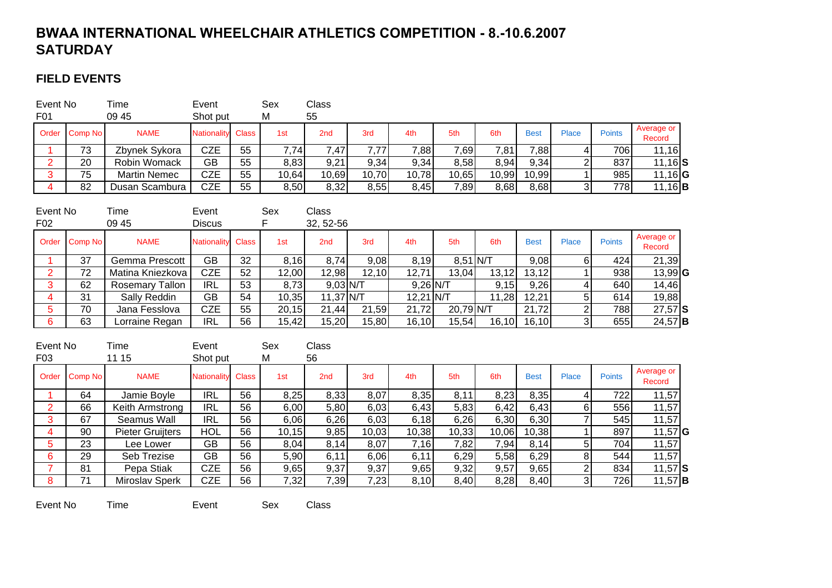# **BWAA INTERNATIONAL WHEELCHAIR ATHLETICS COMPETITION - 8.-10.6.2007 SATURDAY**

### **FIELD EVENTS**

| Event No<br>F <sub>0</sub> 1 |               | Time<br>09 45       | Event<br>Shot put        |    | Sex<br>M | Class<br>55     |       |       |       |       |             |       |               |                      |
|------------------------------|---------------|---------------------|--------------------------|----|----------|-----------------|-------|-------|-------|-------|-------------|-------|---------------|----------------------|
|                              | Order Comp No | <b>NAME</b>         | <b>Nationality Class</b> |    | 1st      | 2 <sub>nd</sub> | 3rd   | 4th   | 5th   | 6th   | <b>Best</b> | Place | <b>Points</b> | Average or<br>Record |
|                              | 73            | Zbynek Sykora       | CZE                      | 55 | 7.74     | 7,47            | 7.77  | 7,88  | 7,69  | 7,81  | 7,88        |       | 7061          | 11,16                |
| C.<br><u>_</u>               | 20            | Robin Womack        | GB                       | 55 | 8,83     | 9,21            | 9,34  | 9,34  | 8,58  | 8,94  | 9,34        |       | 837           | $11,16$ $S$          |
| 2                            | 75            | <b>Martin Nemec</b> | CZE                      | 55 | 10,64    | 10,69           | 10,70 | 10,78 | 10,65 | 10,99 | 10,99       |       | 985           | $11,16$ <b>G</b>     |
|                              | 82            | Dusan Scambura      | CZE                      | 55 | 8,50     | 8,32            | 8,55  | 8,45  | 7,89  | 8,68  | 8,68        |       | 778I          | $11,16$ <b>B</b>     |

| Event No        |               | Time                   | Event                    |    | Sex   | Class           |       |             |            |        |             |       |               |                      |  |
|-----------------|---------------|------------------------|--------------------------|----|-------|-----------------|-------|-------------|------------|--------|-------------|-------|---------------|----------------------|--|
| F <sub>02</sub> |               | 09 45                  | <b>Discus</b>            |    |       | 32, 52-56       |       |             |            |        |             |       |               |                      |  |
|                 | Order Comp No | <b>NAME</b>            | <b>Nationality Class</b> |    | 1st   | 2 <sub>nd</sub> | 3rd   | 4th         | 5th        | 6th    | <b>Best</b> | Place | <b>Points</b> | Average or<br>Record |  |
|                 | 37            | Gemma Prescott         | GВ                       | 32 | 8,16  | 8,74            | 9,08  | 8.19        | $8.51$ N/T |        | 9,08        |       | 424           | 21,39                |  |
|                 | 72            | Matina Kniezkova       | <b>CZE</b>               | 52 | 12,00 | 12,98           | 12,10 | 12,71       | 13,04      | 13,12  | 13,12       |       | 938           | $13,99$ G            |  |
| 3               | 62            | <b>Rosemary Tallon</b> | <b>IRL</b>               | 53 | 8,73  | $9,03$ N/T      |       | $9,26$ N/T  |            | 9,15   | 9,26        |       | 640           | 14,46                |  |
| 4               | 31            | Sally Reddin           | GВ                       | 54 | 10,35 | $11,37$ N/T     |       | $12,21$ N/T |            | 11,28  | 12,21       |       | 614           | 19,88                |  |
| 5               | 70            | Jana Fesslova          | CZE                      | 55 | 20,15 | 21,44           | 21,59 | 21,72       | 20,79 N/T  |        | 21,72       |       | 788           | $27,57$ S            |  |
| 6               | 63            | Lorraine Regan         | IRL                      | 56 | 15,42 | 15,20           | 15,80 | 16, 10      | 15,54      | 16, 10 | 16, 10      |       | 655           | $24,57$ <b>B</b>     |  |

| Event No<br>F <sub>03</sub> |         | Time<br>11 15    | Event<br>Shot put  |              | Sex<br>M | Class<br>56 |       |       |       |       |             |       |               |                      |  |
|-----------------------------|---------|------------------|--------------------|--------------|----------|-------------|-------|-------|-------|-------|-------------|-------|---------------|----------------------|--|
| Order                       | Comp No | <b>NAME</b>      | <b>Nationality</b> | <b>Class</b> | 1st      | 2nd         | 3rd   | 4th   | 5th   | 6th   | <b>Best</b> | Place | <b>Points</b> | Average or<br>Record |  |
|                             | 64      | Jamie Boyle      | <b>IRL</b>         | 56           | 8,25     | 8,33        | 8,07  | 8,35  | 8,11  | 8,23  | 8,35        |       | 722           | 11,57                |  |
| 2                           | 66      | Keith Armstrong  | <b>IRL</b>         | 56           | 6,00     | 5,80        | 6,03  | 6,43  | 5,83  | 6,42  | 6,43        |       | 556I          | 11,57                |  |
| 3                           | 67      | Seamus Wall      | <b>IRL</b>         | 56           | 6,06     | 6,26        | 6,03  | 6,18  | 6,26  | 6,30  | 6,30        |       | 545           | 11,57                |  |
| 4                           | 90      | Pieter Gruijters | <b>HOL</b>         | 56           | 10,15    | 9,85        | 10,03 | 10,38 | 10,33 | 10,06 | 10,38       |       | 897           | $11,57$ <b>G</b>     |  |
| 5                           | 23      | Lee Lower        | GB                 | 56           | 8,04     | 8,14        | 8,07  | 7,16  | 7,82  | 7,94  | 8,14        |       | 704           | 11,57                |  |
| 6                           | 29      | Seb Trezise      | GB                 | 56           | 5,90     | 6,11        | 6,06  | 6,11  | 6,29  | 5,58  | 6,29        |       | 544           | 11,57                |  |
|                             | 81      | Pepa Stiak       | <b>CZE</b>         | 56           | 9,65     | 9,37        | 9,37  | 9,65  | 9,32  | 9,57  | 9,65        | ົ     | 834           | $11,57$ S            |  |
| 8                           | 71      | Miroslav Sperk   | <b>CZE</b>         | 56           | 7,32     | 7,39        | 7,23  | 8,10  | 8,40  | 8,28  | 8,40        |       | 726           | $11,57$ <b>B</b>     |  |

Event No TimeEvent Sex Class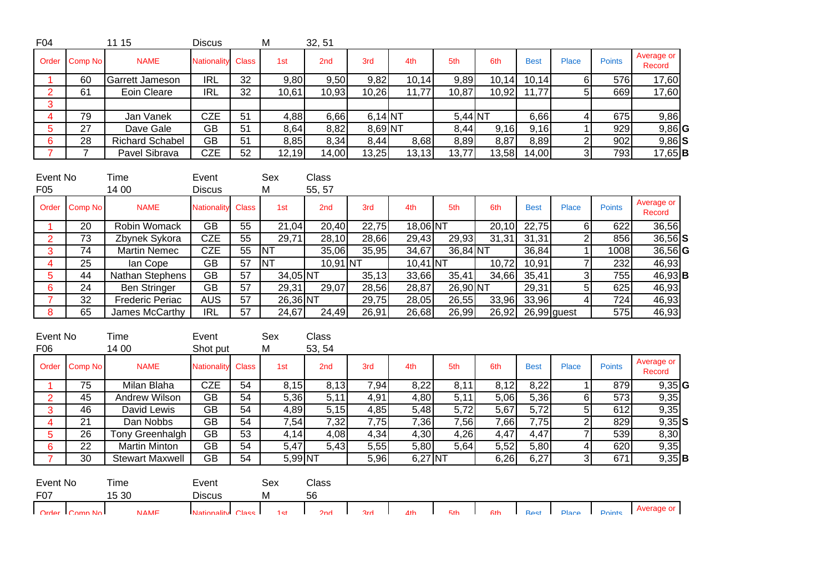| F <sub>04</sub>             |                 | 11 15                  | <b>Discus</b>          |                 | M               | 32, 51          |            |            |                   |                   |                   |                          |                  |                      |
|-----------------------------|-----------------|------------------------|------------------------|-----------------|-----------------|-----------------|------------|------------|-------------------|-------------------|-------------------|--------------------------|------------------|----------------------|
| Order                       | Comp No         | <b>NAME</b>            | <b>Nationality</b>     | <b>Class</b>    | 1st             | 2nd             | 3rd        | 4th        | 5th               | 6th               | <b>Best</b>       | <b>Place</b>             | <b>Points</b>    | Average or<br>Record |
| 1                           | 60              | Garrett Jameson        | R <sub>L</sub>         | 32              | 9,80            | 9,50            | 9,82       | 10,14      | 9,89              | 10,14             | 10,14             | $6 \mid$                 | 576              | 17,60                |
| $\overline{2}$              | 61              | Eoin Cleare            | IRL                    | $\overline{32}$ | 10,61           | 10,93           | 10,26      | 11,77      | 10,87             | 10,92             | 11,77             | $\overline{5}$           | 669              | 17,60                |
| 3                           |                 |                        |                        |                 |                 |                 |            |            |                   |                   |                   |                          |                  |                      |
| $\overline{4}$              | 79              | Jan Vanek              | <b>CZE</b>             | 51              | 4,88            | 6,66            | $6,14$ NT  |            | $5,44$ NT         |                   | 6,66              | 4                        | 675              | 9,86                 |
| $\overline{5}$              | 27              | Dave Gale              | <b>GB</b>              | 51              | 8,64            | 8,82            | 8,69 NT    |            | 8,44              | 9,16              | 9,16              | $\mathbf{1}$             | 929              | $9,86$ <sup>G</sup>  |
| $6 \overline{6}$            | $\overline{28}$ | <b>Richard Schabel</b> | $\overline{GB}$        | 51              | 8,85            | 8,34            | 8,44       | 8,68       | 8,89              | 8,87              | 8,89              | $\overline{2}$           | 902              | $9,86$ S             |
| $\overline{7}$              | $\overline{7}$  | Pavel Sibrava          | <b>CZE</b>             | $\overline{52}$ | 12,19           | 14,00           | 13,25      | 13,13      | 13,77             | 13,58             | 14,00             | 3                        | 793              | $\overline{17,65}$ B |
| Event No<br>F <sub>05</sub> |                 | Time<br>14 00          | Event<br><b>Discus</b> |                 | Sex<br>M        | Class<br>55, 57 |            |            |                   |                   |                   |                          |                  |                      |
| Order                       | Comp No         | <b>NAME</b>            | <b>Nationality</b>     | <b>Class</b>    | 1st             | 2 <sub>nd</sub> | 3rd        | 4th        | 5th               | 6th               | <b>Best</b>       | <b>Place</b>             | <b>Points</b>    | Average or<br>Record |
| 1                           | $\overline{20}$ | Robin Womack           | $\overline{GB}$        | 55              | 21,04           | 20,40           | 22,75      | 18,06 NT   |                   | 20,10             | 22,75             | 6                        | 622              | 36,56                |
| $\overline{2}$              | 73              | Zbynek Sykora          | <b>CZE</b>             | 55              | 29,71           | 28,10           | 28,66      | 29,43      | 29,93             | 31,31             | 31,31             | $\overline{2}$           | 856              | $36,56$ $S$          |
| 3                           | 74              | <b>Martin Nemec</b>    | <b>CZE</b>             | 55              | <b>NT</b>       | 35,06           | 35,95      | 34,67      | 36,84 NT          |                   | 36,84             | $\overline{1}$           | 1008             | $36,56$ G            |
| $\overline{4}$              | $\overline{25}$ | lan Cope               | $\overline{GB}$        | 57              | <b>NT</b>       | $10,91$ NT      |            | $10,41$ NT |                   | 10,72             | 10,91             | $\overline{7}$           | 232              | 46,93                |
| $\overline{5}$              | 44              | Nathan Stephens        | $\overline{GB}$        | 57              | $34,05$ NT      |                 | 35,13      | 33,66      | 35,41             | 34,66             | 35,41             | 3                        | 755              | $46,93$ B            |
| $6\phantom{a}$              | 24              | <b>Ben Stringer</b>    | <b>GB</b>              | 57              | 29,31           | 29,07           | 28,56      | 28,87      | $26,90$ NT        |                   | 29,31             | 5                        | 625              | 46,93                |
| $\overline{7}$              | 32              | <b>Frederic Periac</b> | <b>AUS</b>             | $\overline{57}$ | $26,36$ NT      |                 | 29,75      | 28,05      | 26,55             | 33,96             | 33,96             | 4                        | 724              | 46,93                |
| 8                           | 65              | James McCarthy         | IRL                    | $\overline{57}$ | 24,67           | 24,49           | 26,91      | 26,68      | 26,99             | 26,92             |                   | $\overline{26,99}$ guest | $\overline{575}$ | 46,93                |
| Event No<br>F06             |                 | Time<br>14 00          | Event<br>Shot put      |                 | Sex<br>M        | Class<br>53, 54 |            |            |                   |                   |                   |                          |                  |                      |
| Order                       | Comp No         | <b>NAME</b>            | <b>Nationality</b>     | <b>Class</b>    | 1st             | 2 <sub>nd</sub> | 3rd        | 4th        | 5th               | 6th               | <b>Best</b>       | <b>Place</b>             | <b>Points</b>    | Average or<br>Record |
| $\mathbf{1}$                | 75              | Milan Blaha            | <b>CZE</b>             | 54              | 8,15            | 8,13            | 7,94       | 8,22       | 8,11              | 8,12              | 8,22              | $\mathbf{1}$             | 879              | $9,35$ <sup>G</sup>  |
| $\overline{2}$              | 45              | Andrew Wilson          | <b>GB</b>              | 54              | 5,36            | 5,11            | 4,91       | 4,80       | 5,11              | 5,06              | 5,36              | 6                        | $\overline{573}$ | 9,35                 |
| $\overline{3}$              | 46              | David Lewis            | $\overline{GB}$        | $\overline{54}$ | 4,89            | 5,15            | 4,85       | 5,48       | $\overline{5,72}$ | $\overline{5,67}$ | $\overline{5,72}$ | 5                        | 612              | 9,35                 |
| $\overline{4}$              | 21              | Dan Nobbs              | <b>GB</b>              | 54              | 7,54            | 7,32            | 7,75       | 7,36       | 7,56              | 7,66              | 7,75              | $\overline{2}$           | 829              | $9,35$ $S$           |
| $\overline{5}$              | 26              | Tony Greenhalgh        | <b>GB</b>              | $\overline{53}$ | 4,14            | 4,08            | 4,34       | 4,30       | 4,26              | 4,47              | 4,47              | $\overline{7}$           | 539              | 8,30                 |
| $6\phantom{1}$              | 22              | <b>Martin Minton</b>   | <b>GB</b>              | $\overline{54}$ | 5,47            | 5,43            | 5,55       | 5,80       | 5,64              | 5,52              | 5,80              | 4                        | 620              | 9,35                 |
| $\overline{7}$              | 30              | <b>Stewart Maxwell</b> | $\overline{GB}$        | 54              | $5,99$ NT       |                 | 5,96       | $6,27$ NT  |                   | 6,26              | 6,27              | 3                        | 671              | $9,35$ B             |
| Event No<br>F07             |                 | Time<br>15 30          | Event<br><b>Discus</b> |                 | Sex<br>M        | Class<br>56     |            |            |                   |                   |                   |                          |                  | Average or           |
|                             | Order Comp No   | <b>NAME</b>            | Nationality Class      |                 | 1 <sub>ct</sub> | 2nd             | <b>Rrd</b> | 4th        | 5th               | <b>Ath</b>        | <b>Rest</b>       | Place I                  | Points           |                      |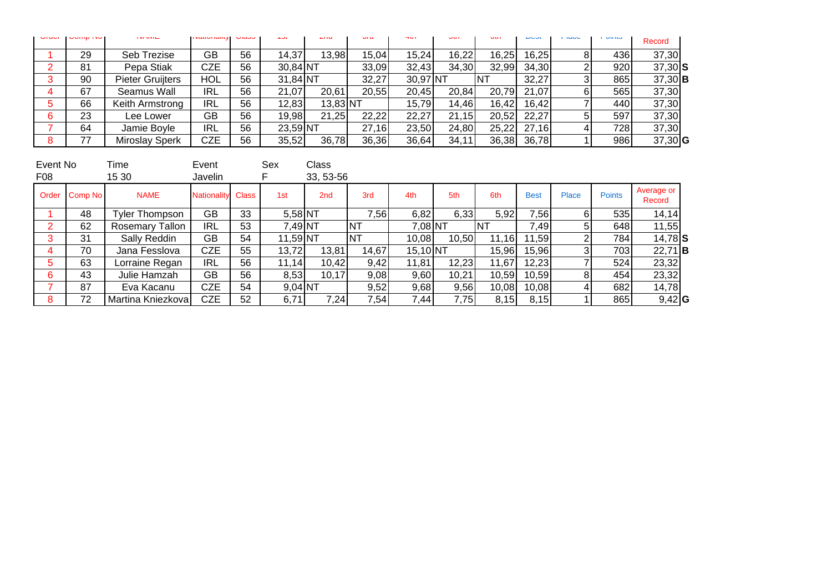| <b>UNU</b> | <b>UVILIP INC.</b> | <b>INFORMED</b>         | <b>INCHIVITIONLY UTOOO</b> |    | ا با ف ا   | <b>ALIM</b> | <b>UIU</b> | T(1)     | $\overline{\mathbf{v}}$ | <b>VULL</b> | DUOL  | <b>LIGUU</b> | י טוויוט | Record           |  |
|------------|--------------------|-------------------------|----------------------------|----|------------|-------------|------------|----------|-------------------------|-------------|-------|--------------|----------|------------------|--|
|            | 29                 | Seb Trezise             | GВ                         | 56 | 14,37      | 13,98       | 15.04      | 15.24    | 16,22                   | 16,25       | 16,25 |              | 436 I    | 37,30            |  |
|            | 81                 | Pepa Stiak              | CZE                        | 56 | 30,84 NT   |             | 33,09      | 32,43    | 34,30                   | 32,99       | 34,30 |              | 920      | $37,30$ S        |  |
|            | 90                 | <b>Pieter Gruijters</b> | HOL                        | 56 | $31,84$ NT |             | 32,27      | 30,97 NT |                         | INT         | 32,27 |              | 865      | $37,30$ <b>B</b> |  |
|            | 67                 | Seamus Wall             | <b>IRL</b>                 | 56 | 21,07      | 20,61       | 20,55      | 20.45    | 20.84                   | 20.79       | 21,07 |              | 565I     | 37,30            |  |
|            | 66                 | Keith Armstrong         | IRL                        | 56 | 12,83      | $13,83$ NT  |            | 15.79    | 14,46                   | 16.42       | 16,42 |              | 440      | 37,30            |  |
|            | 23                 | Lee Lower               | GВ                         | 56 | 19,98      | 21,25       | 22,22      | 22,27    | 21,15                   | 20,52       | 22,27 |              | 597      | 37,30            |  |
|            | 64                 | Jamie Boyle             | <b>IRL</b>                 | 56 | 23,59 NT   |             | 27,16      | 23,50    | 24,80                   | 25,22       | 27,16 |              | 7281     | 37,30            |  |
|            |                    | <b>Miroslay Sperk</b>   | CZE                        | 56 | 35,52      | 36,78       | 36,36      | 36,64    | 34,11                   | 36,38       | 36,78 |              | 986      | $37,30$ G        |  |

| Event No        |               | Time                   | Event              |              | Sex        | Class           |           |            |       |       |             |       |               |                      |  |
|-----------------|---------------|------------------------|--------------------|--------------|------------|-----------------|-----------|------------|-------|-------|-------------|-------|---------------|----------------------|--|
| F <sub>08</sub> |               | 15 30                  | Javelin            |              |            | 33, 53-56       |           |            |       |       |             |       |               |                      |  |
|                 | Order Comp No | <b>NAME</b>            | <b>Nationality</b> | <b>Class</b> | 1st        | 2 <sub>nd</sub> | 3rd       | 4th        | 5th   | 6th   | <b>Best</b> | Place | <b>Points</b> | Average or<br>Record |  |
|                 | 48            | Tyler Thompson         | GB                 | 33           | 5,58 NT    |                 | 7,56      | 6,82       | 6,33  | 5,92  | 7,56        |       | 535           | 14,14                |  |
|                 | 62            | <b>Rosemary Tallon</b> | <b>IRL</b>         | 53           | 7,49 NT    |                 | <b>NT</b> | 7,08 NT    |       | INT   | 7,49        |       | 648           | 11,55                |  |
|                 | 31            | Sally Reddin           | GВ                 | 54           | $11,59$ NT |                 | <b>NT</b> | 10,08      | 10,50 | 11,16 | 11,59       |       | 784           | $14,78$ $S$          |  |
|                 | 70            | Jana Fesslova          | <b>CZE</b>         | 55           | 13,72      | 13,81           | 14,67     | $15,10$ NT |       | 15,96 | 15,96       |       | 703           | $22,71$ <b>B</b>     |  |
|                 | 63            | Lorraine Regan         | <b>IRL</b>         | 56           | 11,14      | 10,42           | 9,42      | 11,81      | 12,23 | 11,67 | 12,23       |       | 524           | 23,32                |  |
|                 | 43            | Julie Hamzah           | GВ                 | 56           | 8,53       | 10,17           | 9,08      | 9,60       | 10,21 | 10,59 | 10,59       |       | 454           | 23,32                |  |
|                 | 87            | Eva Kacanu             | CZE                | 54           | $9,04$ NT  |                 | 9,52      | 9,68       | 9,56  | 10,08 | 10,08       |       | 682           | 14,78                |  |
|                 | 72            | Martina Kniezkova      | <b>CZE</b>         | 52           | 6,71       | 7,24            | 7,54      | 7,44       | 7,75  | 8,15  | 8,15        |       | 865           | $9,42$ <sup>G</sup>  |  |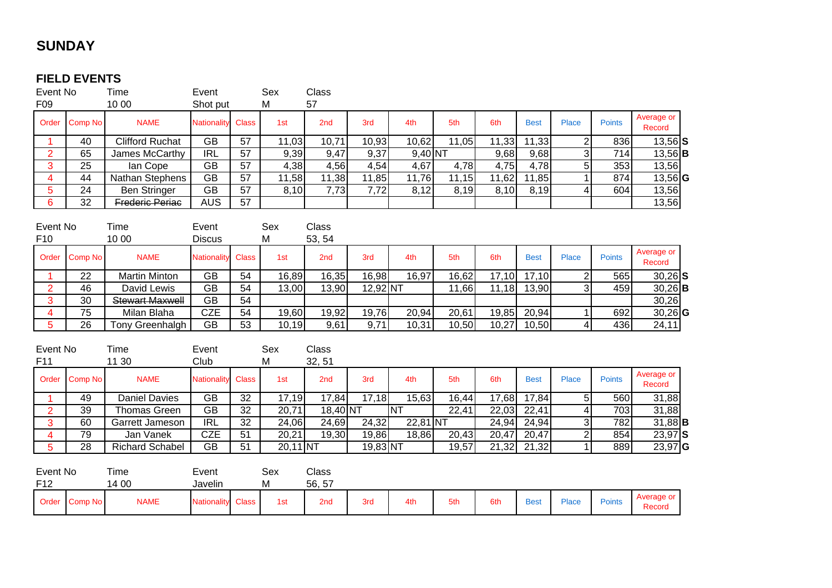## **SUNDAY**

#### **FIELD EVENTS**

| Event No                    |                 | Time                   | Event                  |                 | Sex        | Class              |          |            |       |                    |                    |                         |               |                      |
|-----------------------------|-----------------|------------------------|------------------------|-----------------|------------|--------------------|----------|------------|-------|--------------------|--------------------|-------------------------|---------------|----------------------|
| F09                         |                 | 10 00                  | Shot put               |                 | М          | 57                 |          |            |       |                    |                    |                         |               |                      |
| Order                       | Comp No         | <b>NAME</b>            | <b>Nationality</b>     | <b>Class</b>    | 1st        | 2nd                | 3rd      | 4th        | 5th   | 6th                | <b>Best</b>        | Place                   | <b>Points</b> | Average or<br>Record |
|                             | 40              | <b>Clifford Ruchat</b> | <b>GB</b>              | 57              | 11,03      | 10,71              | 10,93    | 10,62      | 11,05 | 11,33              | 11,33              | $\overline{2}$          | 836           | $\overline{13,56}$ S |
| $\overline{2}$              | 65              | James McCarthy         | IRL                    | 57              | 9,39       | 9,47               | 9,37     | $9,40$ NT  |       | 9,68               | 9,68               | $\overline{3}$          | 714           | $13,56$ B            |
| 3                           | 25              | lan Cope               | <b>GB</b>              | 57              | 4,38       | 4,56               | 4,54     | 4,67       | 4,78  | 4,75               | 4,78               | 5 <sup>1</sup>          | 353           | 13,56                |
| $\overline{\mathbf{4}}$     | 44              | Nathan Stephens        | <b>GB</b>              | 57              | 11,58      | $\overline{11,38}$ | 11,85    | 11,76      | 11,15 | 11,62              | 11,85              |                         | 874           | $13,56$ G            |
| 5                           | 24              | Ben Stringer           | $\overline{GB}$        | 57              | 8,10       | 7,73               | 7,72     | 8,12       | 8,19  | 8,10               | 8,19               | 4                       | 604           | 13,56                |
| $\overline{6}$              | $\overline{32}$ | <b>Frederic Periac</b> | <b>AUS</b>             | 57              |            |                    |          |            |       |                    |                    |                         |               | 13,56                |
| Event No<br>F <sub>10</sub> |                 | Time<br>10 00          | Event<br><b>Discus</b> |                 | Sex<br>M   | Class<br>53, 54    |          |            |       |                    |                    |                         |               |                      |
| Order                       | Comp No         | <b>NAME</b>            | Nationality            | <b>Class</b>    | 1st        | 2nd                | 3rd      | 4th        | 5th   | 6th                | <b>Best</b>        | Place                   | <b>Points</b> | Average or<br>Record |
|                             | 22              | <b>Martin Minton</b>   | <b>GB</b>              | 54              | 16,89      | 16,35              | 16,98    | 16,97      | 16,62 | 17,10              | 17,10              | $\overline{2}$          | 565           | $30,26$ S            |
| $\overline{2}$              | 46              | David Lewis            | <b>GB</b>              | 54              | 13,00      | 13,90              | 12,92 NT |            | 11,66 | 11,18              | 13,90              | $\overline{3}$          | 459           | $30,26$ <b>B</b>     |
| 3                           | 30              | <b>Stewart Maxwell</b> | $\overline{GB}$        | 54              |            |                    |          |            |       |                    |                    |                         |               | 30,26                |
| $\overline{\mathbf{4}}$     | $\overline{75}$ | Milan Blaha            | <b>CZE</b>             | $\overline{54}$ | 19,60      | 19,92              | 19,76    | 20,94      | 20,61 | 19,85              | 20,94              | $\mathbf{1}$            | 692           | $\overline{30,26}$ G |
| $\overline{5}$              | $\overline{26}$ | Tony Greenhalgh        | $\overline{GB}$        | $\overline{53}$ | 10,19      | 9,61               | 9,71     | 10,31      | 10,50 | 10,27              | 10,50              | 4                       | 436           | 24,11                |
| Event No<br>F11             |                 | Time<br>11 30          | Event<br>Club          |                 | Sex<br>M   | Class<br>32, 51    |          |            |       |                    |                    |                         |               |                      |
| Order                       | Comp No         | <b>NAME</b>            | <b>Nationality</b>     | <b>Class</b>    | 1st        | 2nd                | 3rd      | 4th        | 5th   | 6th                | <b>Best</b>        | Place                   | <b>Points</b> | Average or<br>Record |
| $\overline{1}$              | 49              | <b>Daniel Davies</b>   | <b>GB</b>              | 32              | 17,19      | 17,84              | 17,18    | 15,63      | 16,44 | 17,68              | $\overline{17,84}$ | 5 <sup>1</sup>          | 560           | 31,88                |
| $\overline{2}$              | $\overline{39}$ | <b>Thomas Green</b>    | $\overline{GB}$        | 32              | 20,71      | $18,40$ NT         |          | <b>NT</b>  | 22,41 | 22,03              | 22,41              | $\overline{\mathbf{r}}$ | 703           | 31,88                |
| $\overline{3}$              | 60              | Garrett Jameson        | IRL                    | $\overline{32}$ | 24,06      | 24,69              | 24,32    | $22,81$ NT |       | 24,94              | 24,94              | $\overline{3}$          | 782           | $31,88$ <b>B</b>     |
| 4                           | 79              | Jan Vanek              | <b>CZE</b>             | 51              | 20,21      | $\overline{19,30}$ | 19,86    | 18,86      | 20,43 | 20,47              | 20,47              | $\overline{2}$          | 854           | $23,97$ S            |
| 5                           | $\overline{28}$ | <b>Richard Schabel</b> | $\overline{GB}$        | 51              | $20,11$ NT |                    | 19,83 NT |            | 19,57 | $\overline{21,32}$ | 21,32              | $\mathbf{1}$            | 889           | $\overline{23,97}$ G |
| Event No<br>F <sub>12</sub> |                 | Time<br>14 00          | Event<br>Javelin       |                 | Sex<br>M   | Class<br>56, 57    |          |            |       |                    |                    |                         |               |                      |
| Order                       | Comp No         | <b>NAME</b>            | Nationality            | <b>Class</b>    | 1st        | 2nd                | 3rd      | 4th        | 5th   | 6th                | <b>Best</b>        | Place                   | <b>Points</b> | Average or<br>Record |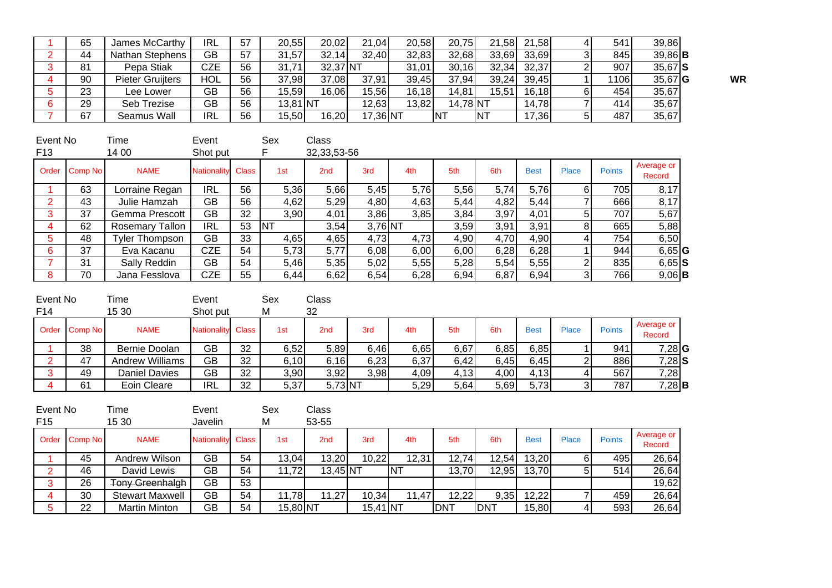| 65 | James McCarthy          | IRL        | 57 | 20,55    | 20,02    | 21,04    | 20,58 | 20,75    |        | 21,58 21,58 | 541  | 39,86            |           |
|----|-------------------------|------------|----|----------|----------|----------|-------|----------|--------|-------------|------|------------------|-----------|
| 44 | Nathan Stephens         | GB         | 57 | 31,57    | 32,14    | 32,40    | 32,83 | 32,68    | 33,69  | 33,69       | 845  | $39,86$ <b>B</b> |           |
| 81 | Pepa Stiak              | CZE        | 56 | 31.71    | 32,37 NT |          | 31.01 | 30,16    | 32,34  | 32,37       | 907  | $35.67$ S        |           |
| 90 | <b>Pieter Gruijters</b> | <b>HOL</b> | 56 | 37,98    | 37,08    | 37,91    | 39,45 | 37,94    | 39,24  | 39,45       | 1106 | $35,67$ <b>G</b> | <b>WR</b> |
| 23 | Lee Lower               | GB         | 56 | 15,59    | 16,06    | 15,56    | 16,18 | 14,81    | 15.511 | 16.18       | 454  | 35,67            |           |
| 29 | Seb Trezise             | <b>GB</b>  | 56 | 13,81 NT |          | 12,63    | 13,82 | 14,78 NT |        | 14,78       | 414  | 35,67            |           |
| 67 | Seamus Wall             | <b>IRL</b> | 56 | 15.50    | 16,20    | 17,36 NT |       | INT.     | INT    | 17,36       | 487  | 35,67            |           |

| Event No<br>F <sub>13</sub> |         | Гіmе<br>14 00         | Event<br>Shot put  |              | Sex        | Class<br>32, 33, 53-56 |         |      |      |      |             |       |               |                      |
|-----------------------------|---------|-----------------------|--------------------|--------------|------------|------------------------|---------|------|------|------|-------------|-------|---------------|----------------------|
| Order                       | Comp No | <b>NAME</b>           | <b>Nationality</b> | <b>Class</b> | 1st        | 2 <sub>nd</sub>        | 3rd     | 4th  | 5th  | 6th  | <b>Best</b> | Place | <b>Points</b> | Average or<br>Record |
|                             | 63      | Lorraine Regan        | <b>IRL</b>         | 56           | 5,36       | 5,66                   | 5,45    | 5,76 | 5,56 | 5,74 | 5,76        |       | 705           | 8,17                 |
| 2                           | 43      | Julie Hamzah          | GB                 | 56           | 4,62       | 5,29                   | 4,80    | 4,63 | 5,44 | 4,82 | 5,44        |       | 666           | 8,17                 |
|                             | 37      | Gemma Prescott        | <b>GB</b>          | 32           | 3,90       | 4,01                   | 3,86    | 3,85 | 3,84 | 3,97 | 4,01        | 51    | 707           | 5,67                 |
| 4                           | 62      | Rosemary Tallon       | <b>IRL</b>         | 53           | <b>INT</b> | 3,54                   | 3.76 NT |      | 3,59 | 3,91 | 3,91        | 8     | 665           | 5,88                 |
| 5                           | 48      | <b>Tyler Thompson</b> | GB                 | 33           | 4,65       | 4,65                   | 4,73    | 4,73 | 4,90 | 4,70 | 4,90        |       | 754           | 6,50                 |
| 6                           | 37      | Eva Kacanu            | <b>CZE</b>         | 54           | 5,73       | 5,77                   | 6,08    | 6,00 | 6,00 | 6,28 | 6,28        |       | 944           | $6,65$ <sup>G</sup>  |
|                             | 31      | Sally Reddin          | GB                 | 54           | 5,46       | 5,35                   | 5,02    | 5,55 | 5,28 | 5,54 | 5,55        | ົ     | 835           | $6,65$ S             |
| 8                           | 70      | Jana Fesslova         | <b>CZE</b>         | 55           | 6,44       | 6,62                   | 6,54    | 6,28 | 6,94 | 6,87 | 6,94        | ົ     | 766           | $9,06$ B             |

| Event No        |               | Time                   | Event              |       | Sex  | Class   |      |      |      |      |             |              |               |                      |  |
|-----------------|---------------|------------------------|--------------------|-------|------|---------|------|------|------|------|-------------|--------------|---------------|----------------------|--|
| F <sub>14</sub> |               | 15 30                  | Shot put           |       | М    | 32      |      |      |      |      |             |              |               |                      |  |
|                 | Order Comp No | <b>NAME</b>            | <b>Nationality</b> | Class | 1st  | 2nd     | 3rd  | 4th  | 5th  | 6th  | <b>Best</b> | <b>Place</b> | <b>Points</b> | Average or<br>Record |  |
|                 | 38            | Bernie Doolan          | GB                 | 32    | 6,52 | 5,89    | 6,46 | 6,65 | 6,67 | 6,85 | 6,85        |              | 941           | $7,28$ <sup>G</sup>  |  |
| ົ               | 47            | <b>Andrew Williams</b> | GВ                 | 32    | 6,10 | 6,16    | 6,23 | 6,37 | 6,42 | 6,45 | 6,45        |              | 886           | $7,28$ S             |  |
| ີ               | 49            | <b>Daniel Davies</b>   | GB                 | 32    | 3,90 | 3,92    | 3,98 | 4,09 | 4,13 | 4,00 | 4,13        |              | 567           | 7,28                 |  |
|                 | 61            | Eoin Cleare            | <b>IRL</b>         | 32    | 5,37 | 5,73 NT |      | 5,29 | 5,64 | 5,69 | 5,73        |              | 787           | $7,28$ B             |  |

| Event No        |               | Time                   | Event             |    | Sex      | Class           |            |       |             |            |             |       |               |                      |
|-----------------|---------------|------------------------|-------------------|----|----------|-----------------|------------|-------|-------------|------------|-------------|-------|---------------|----------------------|
| F <sub>15</sub> |               | 15 30                  | Javelin           |    | M        | 53-55           |            |       |             |            |             |       |               |                      |
|                 | Order Comp No | <b>NAME</b>            | Nationality Class |    | 1st      | 2 <sub>nd</sub> | 3rd        | 4th   | 5th         | 6th        | <b>Best</b> | Place | <b>Points</b> | Average or<br>Record |
|                 | 45            | Andrew Wilson          | GB                | 54 | 13,04    | 13,20           | 10,22      | 12,31 | 12,74       | 12,54      | 13,20       |       | 4951          | 26,64                |
| ົ               | 46            | David Lewis            | GВ                | 54 | 11,72    | $13,45$ NT      |            | .NT   | 13,70       | 12,95      | 13,70       |       | 514           | 26,64                |
|                 | 26            | <b>Tony Greenhalgh</b> | GB                | 53 |          |                 |            |       |             |            |             |       |               | 19,62                |
|                 | 30            | <b>Stewart Maxwell</b> | GВ                | 54 | 11,78    | 11,27           | 10,34      | 11.47 | 12,22       | 9,35       | 12,22       |       | 459           | 26,64                |
| 5               | 22            | Martin Minton          | GВ                | 54 | 15,80 NT |                 | $15,41$ NT |       | <b>IDNT</b> | <b>DNT</b> | 15,80       |       | 593           | 26,64                |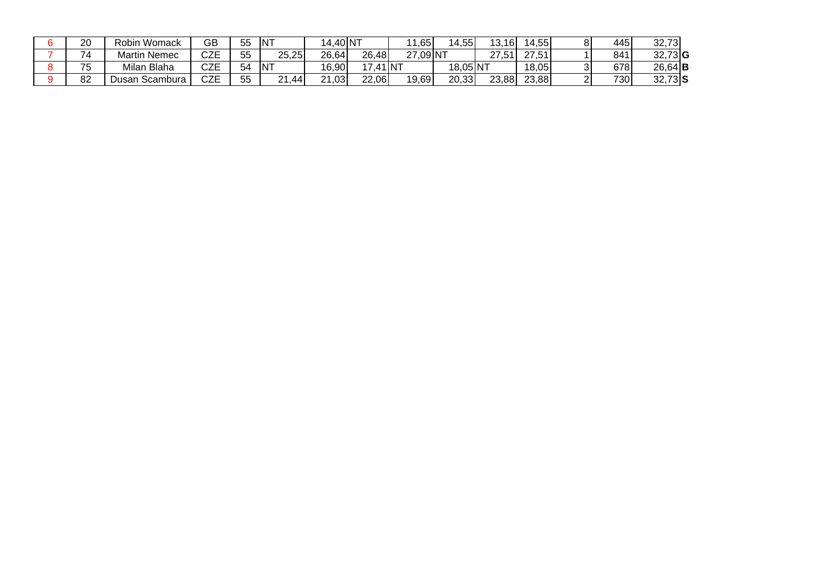| 20 | Robin Womack         | GB        | 55 | INT                       | 14,40 NT |        | 11,65    | 14.551   | ,16             | 14,55 | 445 | 32,73            |
|----|----------------------|-----------|----|---------------------------|----------|--------|----------|----------|-----------------|-------|-----|------------------|
| 74 | Martin Nemec         | CZE       | 55 | 25,25                     | 26,64    | 26,48  | 27,09 NT |          | .51<br><u>.</u> | 27,51 | 841 | $32,73$ <b>G</b> |
| 75 | Milan Blaha          | ^7⊏<br>ᇈᆮ | 54 | $\overline{\mathsf{INT}}$ | 16,90    | ,41 NT |          | 18,05 NT |                 | 18,05 | 678 | $26,64$ <b>B</b> |
| 82 | ′ Jusan<br>∟Scambura | CZE       | 55 | $\Omega$<br>.44<br>∠∣     | 21,03    | 22,06  | 19,69    | 20,33    | 23,88           | 23,88 | 730 | $32,73$ $S$      |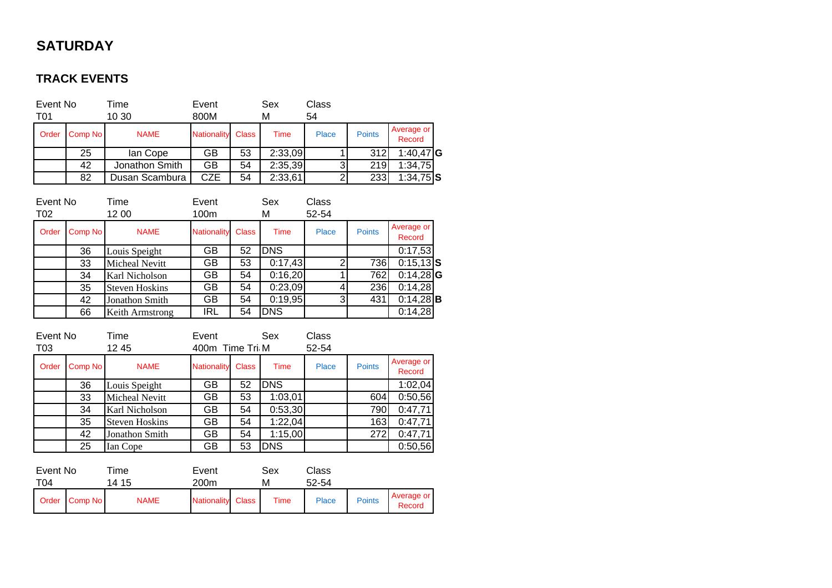## **SATURDAY**

## **TRACK EVENTS**

| Event No<br>T01 |         | Time<br>10 30  | Event<br>800M      |              | Sex<br>М | Class<br>54  |               |                      |  |
|-----------------|---------|----------------|--------------------|--------------|----------|--------------|---------------|----------------------|--|
| Order           | Comp No | <b>NAME</b>    | <b>Nationality</b> | <b>Class</b> | Time     | <b>Place</b> | <b>Points</b> | Average or<br>Record |  |
|                 | 25      | lan Cope       | GB                 | 53           | 2:33,09  |              | 312           | 1:40,47 $G$          |  |
|                 | 42      | Jonathon Smith | GВ                 | 54           | 2:35,39  | 3            | 219           | 1:34,75              |  |
|                 | 82      | Dusan Scambura | CZE                | 54           | 2:33,61  | 2            | 233           | $1:34,75$ S          |  |

| Event No<br>T02 |         | Time<br>12 00         | Event<br>100m      |              | Sex<br>M   | Class<br>52-54 |               |                      |
|-----------------|---------|-----------------------|--------------------|--------------|------------|----------------|---------------|----------------------|
| Order           | Comp No | <b>NAME</b>           | <b>Nationality</b> | <b>Class</b> | Time       | Place          | <b>Points</b> | Average or<br>Record |
|                 | 36      | Louis Speight         | GВ                 | 52           | <b>DNS</b> |                |               | 0:17,53              |
|                 | 33      | <b>Micheal Nevitt</b> | GB                 | 53           | 0:17,43    | っ              | 736           | $0:15,13$ <b>S</b>   |
|                 | 34      | Karl Nicholson        | GB                 | 54           | 0:16,20    |                | 762           | $0:14,28$ <b>G</b>   |
|                 | 35      | <b>Steven Hoskins</b> | GВ                 | 54           | 0:23,09    | 4              | 236           | 0:14,28              |
|                 | 42      | <b>Jonathon Smith</b> | GB                 | 54           | 0:19,95    | 3              | 431           | $0:14,28$ <b>B</b>   |
|                 | 66      | Keith Armstrong       | <b>IRL</b>         | 54           | <b>DNS</b> |                |               | 0:14,28              |

| Event No<br>T03 |         | Time<br>1245          | Event<br>Sex<br>400m Time Tri M |              |             | Class<br>52-54 |               |                      |
|-----------------|---------|-----------------------|---------------------------------|--------------|-------------|----------------|---------------|----------------------|
| Order           | Comp No | <b>NAME</b>           | <b>Nationality</b>              | <b>Class</b> | <b>Time</b> | Place          | <b>Points</b> | Average or<br>Record |
|                 | 36      | Louis Speight         | GВ                              | 52           | <b>DNS</b>  |                |               | 1:02,04              |
|                 | 33      | Micheal Nevitt        | GB                              | 53           | 1:03,01     |                | 604           | 0:50,56              |
|                 | 34      | Karl Nicholson        | GВ                              | 54           | 0:53,30     |                | 790           | 0:47,71              |
|                 | 35      | <b>Steven Hoskins</b> | GВ                              | 54           | 1:22,04     |                | 163           | 0:47,71              |
|                 | 42      | Jonathon Smith        | GB                              | 54           | 1:15,00     |                | 272           | 0:47,71              |
|                 | 25      | Ian Cope              | GB                              | 53           | <b>DNS</b>  |                |               | 0:50,56              |
| Event No        |         | Time                  | Event                           |              | Sex         | Class          |               |                      |

| EVENTINO<br>T04 |         | пше<br>14 15 | cvent<br>200 <sub>m</sub> | əex<br>M | UidSS<br>52-54 |               |                      |
|-----------------|---------|--------------|---------------------------|----------|----------------|---------------|----------------------|
| Order           | Comp No | <b>NAME</b>  | <b>Nationality Class</b>  | Time     | <b>Place</b>   | <b>Points</b> | Average or<br>Record |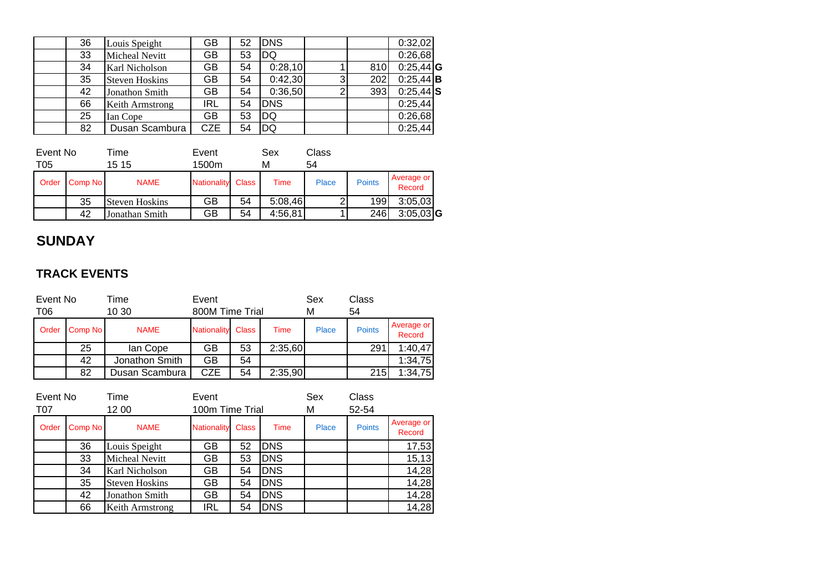| 36 | Louis Speight         | GВ         | 52 | <b>DNS</b> |   |     | 0:32,02     |  |
|----|-----------------------|------------|----|------------|---|-----|-------------|--|
| 33 | Micheal Nevitt        | GВ         | 53 | DQ         |   |     | 0:26,68     |  |
| 34 | Karl Nicholson        | GВ         | 54 | 0:28,10    |   | 810 | $0:25,44$ G |  |
| 35 | <b>Steven Hoskins</b> | GВ         | 54 | 0:42,30    | 3 | 202 | $0:25,44$ B |  |
| 42 | Jonathon Smith        | GB         | 54 | 0:36,50    | 2 | 393 | $0:25,44$ S |  |
| 66 | Keith Armstrong       | <b>IRL</b> | 54 | <b>DNS</b> |   |     | 0:25,44     |  |
| 25 | Ian Cope              | GВ         | 53 | DQ         |   |     | 0:26,68     |  |
| 82 | Dusan Scambura        | <b>CZE</b> | 54 | DQ         |   |     | 0:25,44     |  |

| Event No<br>T05 |         | <i>ime</i><br>15 15 | Event<br>1500m     |              | Sex<br>м | Class<br>54 |               |                      |  |
|-----------------|---------|---------------------|--------------------|--------------|----------|-------------|---------------|----------------------|--|
| Order           | Comp No | <b>NAME</b>         | <b>Nationality</b> | <b>Class</b> | Time     | Place       | <b>Points</b> | Average or<br>Record |  |
|                 | 35      | Steven Hoskins      | GB                 | 54           | 5:08,46  | $\Omega$    | 199           | 3:05,03              |  |
|                 | 42      | Jonathan Smith      | GВ                 | 54           | 4:56,81  |             | 246           | $3:05,03$ <b>G</b>   |  |

## **SUNDAY**

#### **TRACK EVENTS**

| Event No<br>Time<br>10 30<br>T06 |         | Event<br>800M Time Trial |                    |              | Sex<br>м | Class<br>54  |               |                      |
|----------------------------------|---------|--------------------------|--------------------|--------------|----------|--------------|---------------|----------------------|
| Order                            | Comp No | <b>NAME</b>              | <b>Nationality</b> | <b>Class</b> | Time     | <b>Place</b> | <b>Points</b> | Average or<br>Record |
|                                  | 25      | lan Cope                 | GB                 | 53           | 2:35,60  |              | 291           | 1:40,47              |
|                                  | 42      | Jonathon Smith           | GB                 | 54           |          |              |               | 1:34,75              |
|                                  | 82      | Dusan Scambura           | CZE                | 54           | 2:35,90  |              | 215           | 1:34,75              |

| Event No<br>Time<br>T07<br>12 00 |         | Event<br>100m Time Trial |                    |              | Sex<br>М   | Class<br>52-54 |               |                      |
|----------------------------------|---------|--------------------------|--------------------|--------------|------------|----------------|---------------|----------------------|
| Order                            | Comp No | <b>NAME</b>              | <b>Nationality</b> | <b>Class</b> | Time       | Place          | <b>Points</b> | Average or<br>Record |
|                                  | 36      | Louis Speight            | GВ                 | 52           | <b>DNS</b> |                |               | 17,53                |
|                                  | 33      | <b>Micheal Nevitt</b>    | GВ                 | 53           | <b>DNS</b> |                |               | 15, 13               |
|                                  | 34      | Karl Nicholson           | GВ                 | 54           | <b>DNS</b> |                |               | 14,28                |
|                                  | 35      | <b>Steven Hoskins</b>    | GВ                 | 54           | <b>DNS</b> |                |               | 14,28                |
|                                  | 42      | Jonathon Smith           | GB                 | 54           | <b>DNS</b> |                |               | 14,28                |
|                                  | 66      | Keith Armstrong          | IRL                | 54           | <b>DNS</b> |                |               | 14,28                |